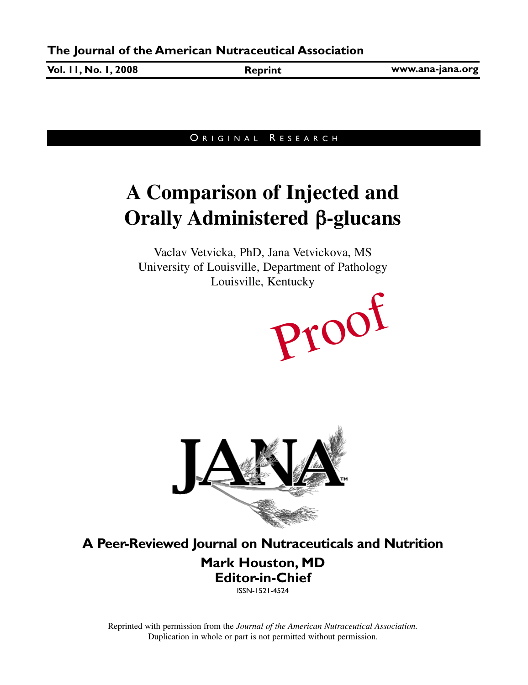**Vol. 11, No. 1, 2008 Reprint**

**www.ana-jana.org**

### ORIGINAL RESEARCH

# **A Comparison of Injected and Orally Administered** β**-glucans**

Vaclav Vetvicka, PhD, Jana Vetvickova, MS University of Louisville, Department of Pathology Louisville, Kentucky





**A Peer-Reviewed Journal on Nutraceuticals and Nutrition**

**Mark Houston, MD Editor-in-Chief** ISSN-1521-4524

Reprinted with permission from the *Journal of the American Nutraceutical Association.* Duplication in whole or part is not permitted without permission.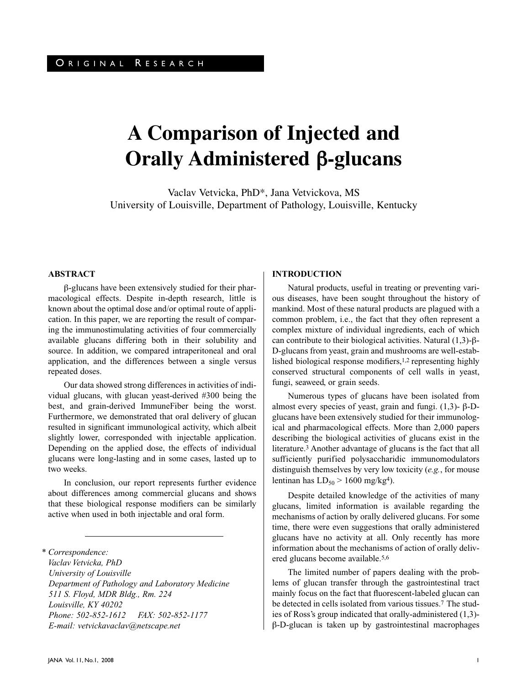## **A Comparison of Injected and Orally Administered** β**-glucans**

Vaclav Vetvicka, PhD\*, Jana Vetvickova, MS University of Louisville, Department of Pathology, Louisville, Kentucky

#### **ABSTRACT**

β-glucans have been extensively studied for their pharmacological effects. Despite in-depth research, little is known about the optimal dose and/or optimal route of application. In this paper, we are reporting the result of comparing the immunostimulating activities of four commercially available glucans differing both in their solubility and source. In addition, we compared intraperitoneal and oral application, and the differences between a single versus repeated doses.

Our data showed strong differences in activities of individual glucans, with glucan yeast-derived #300 being the best, and grain-derived ImmuneFiber being the worst. Furthermore, we demonstrated that oral delivery of glucan resulted in significant immunological activity, which albeit slightly lower, corresponded with injectable application. Depending on the applied dose, the effects of individual glucans were long-lasting and in some cases, lasted up to two weeks.

In conclusion, our report represents further evidence about differences among commercial glucans and shows that these biological response modifiers can be similarly active when used in both injectable and oral form.

*\* Correspondence: Vaclav Vetvicka, PhD University of Louisville Department of Pathology and Laboratory Medicine 511 S. Floyd, MDR Bldg., Rm. 224 Louisville, KY 40202 Phone: 502-852-1612 FAX: 502-852-1177 E-mail: vetvickavaclav@netscape.net*

#### **INTRODUCTION**

Natural products, useful in treating or preventing various diseases, have been sought throughout the history of mankind. Most of these natural products are plagued with a common problem, i.e., the fact that they often represent a complex mixture of individual ingredients, each of which can contribute to their biological activities. Natural (1,3)-β-D-glucans from yeast, grain and mushrooms are well-established biological response modifiers,1,2 representing highly conserved structural components of cell walls in yeast, fungi, seaweed, or grain seeds.

Numerous types of glucans have been isolated from almost every species of yeast, grain and fungi.  $(1,3)$ - β-Dglucans have been extensively studied for their immunological and pharmacological effects. More than 2,000 papers describing the biological activities of glucans exist in the literature.3 Another advantage of glucans is the fact that all sufficiently purified polysaccharidic immunomodulators distinguish themselves by very low toxicity (*e.g.*, for mouse lentinan has  $LD_{50}$  > 1600 mg/kg<sup>4</sup>).

Despite detailed knowledge of the activities of many glucans, limited information is available regarding the mechanisms of action by orally delivered glucans. For some time, there were even suggestions that orally administered glucans have no activity at all. Only recently has more information about the mechanisms of action of orally delivered glucans become available.5,6

The limited number of papers dealing with the problems of glucan transfer through the gastrointestinal tract mainly focus on the fact that fluorescent-labeled glucan can be detected in cells isolated from various tissues.7 The studies of Ross's group indicated that orally-administered (1,3) β-D-glucan is taken up by gastrointestinal macrophages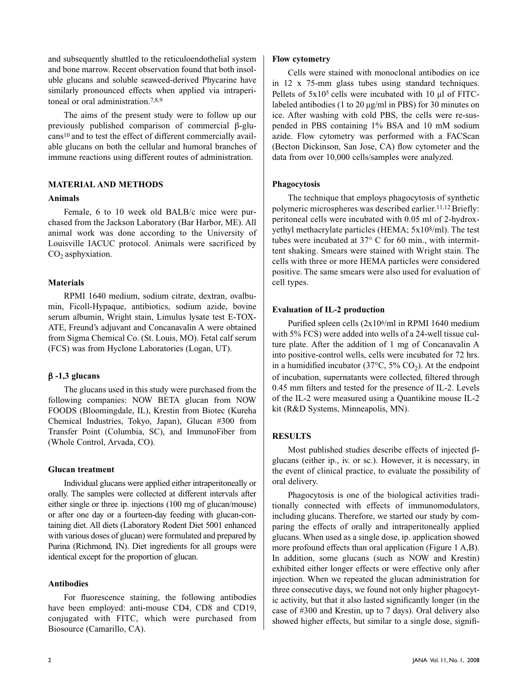and subsequently shuttled to the reticuloendothelial system and bone marrow. Recent observation found that both insoluble glucans and soluble seaweed-derived Phycarine have similarly pronounced effects when applied via intraperitoneal or oral administration.7,8,9

The aims of the present study were to follow up our previously published comparison of commercial β-glucans10 and to test the effect of different commercially available glucans on both the cellular and humoral branches of immune reactions using different routes of administration.

#### **MATERIAL AND METHODS**

#### **Animals**

Female, 6 to 10 week old BALB/c mice were purchased from the Jackson Laboratory (Bar Harbor, ME). All animal work was done according to the University of Louisville IACUC protocol. Animals were sacrificed by  $CO<sub>2</sub>$  asphyxiation.

#### **Materials**

RPMI 1640 medium, sodium citrate, dextran, ovalbumin, Ficoll-Hypaque, antibiotics, sodium azide, bovine serum albumin, Wright stain, Limulus lysate test E-TOX-ATE, Freund's adjuvant and Concanavalin A were obtained from Sigma Chemical Co. (St. Louis, MO). Fetal calf serum (FCS) was from Hyclone Laboratories (Logan, UT).

#### β **-1,3 glucans**

The glucans used in this study were purchased from the following companies: NOW BETA glucan from NOW FOODS (Bloomingdale, IL), Krestin from Biotec (Kureha Chemical Industries, Tokyo, Japan), Glucan #300 from Transfer Point (Columbia, SC), and ImmunoFiber from (Whole Control, Arvada, CO).

#### **Glucan treatment**

Individual glucans were applied either intraperitoneally or orally. The samples were collected at different intervals after either single or three ip. injections (100 mg of glucan/mouse) or after one day or a fourteen-day feeding with glucan-containing diet. All diets (Laboratory Rodent Diet 5001 enhanced with various doses of glucan) were formulated and prepared by Purina (Richmond, IN). Diet ingredients for all groups were identical except for the proportion of glucan.

#### **Antibodies**

For fluorescence staining, the following antibodies have been employed: anti-mouse CD4, CD8 and CD19, conjugated with FITC, which were purchased from Biosource (Camarillo, CA).

#### **Flow cytometry**

Cells were stained with monoclonal antibodies on ice in 12 x 75-mm glass tubes using standard techniques. Pellets of  $5x10<sup>5</sup>$  cells were incubated with 10  $\mu$ l of FITClabeled antibodies (1 to 20  $\mu$ g/ml in PBS) for 30 minutes on ice. After washing with cold PBS, the cells were re-suspended in PBS containing 1% BSA and 10 mM sodium azide. Flow cytometry was performed with a FACScan (Becton Dickinson, San Jose, CA) flow cytometer and the data from over 10,000 cells/samples were analyzed.

#### **Phagocytosis**

The technique that employs phagocytosis of synthetic polymeric microspheres was described earlier.<sup>11,12</sup> Briefly: peritoneal cells were incubated with 0.05 ml of 2-hydroxyethyl methacrylate particles (HEMA; 5x108/ml). The test tubes were incubated at 37° C for 60 min., with intermittent shaking. Smears were stained with Wright stain. The cells with three or more HEMA particles were considered positive. The same smears were also used for evaluation of cell types.

#### **Evaluation of IL-2 production**

Purified spleen cells (2x106/ml in RPMI 1640 medium with 5% FCS) were added into wells of a 24-well tissue culture plate. After the addition of 1 mg of Concanavalin A into positive-control wells, cells were incubated for 72 hrs. in a humidified incubator (37 $\degree$ C, 5% CO<sub>2</sub>). At the endpoint of incubation, supernatants were collected, filtered through 0.45 mm filters and tested for the presence of IL-2. Levels of the IL-2 were measured using a Quantikine mouse IL-2 kit (R&D Systems, Minneapolis, MN).

#### **RESULTS**

Most published studies describe effects of injected βglucans (either ip., iv. or sc.). However, it is necessary, in the event of clinical practice, to evaluate the possibility of oral delivery.

Phagocytosis is one of the biological activities traditionally connected with effects of immunomodulators, including glucans. Therefore, we started our study by comparing the effects of orally and intraperitoneally applied glucans. When used as a single dose, ip. application showed more profound effects than oral application (Figure 1 A,B). In addition, some glucans (such as NOW and Krestin) exhibited either longer effects or were effective only after injection. When we repeated the glucan administration for three consecutive days, we found not only higher phagocytic activity, but that it also lasted significantly longer (in the case of #300 and Krestin, up to 7 days). Oral delivery also showed higher effects, but similar to a single dose, signifi-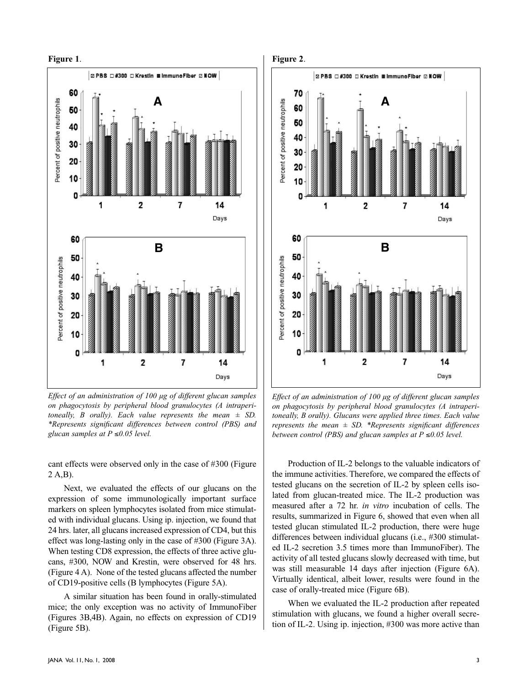

*Effect of an administration of 100 µg of different glucan samples on phagocytosis by peripheral blood granulocytes (A intraperitoneally, B orally). Each value represents the mean ± SD. \*Represents significant differences between control (PBS) and glucan samples at P* ≤*0.05 level.*

cant effects were observed only in the case of #300 (Figure 2 A,B).

Next, we evaluated the effects of our glucans on the expression of some immunologically important surface markers on spleen lymphocytes isolated from mice stimulated with individual glucans. Using ip. injection, we found that 24 hrs. later, all glucans increased expression of CD4, but this effect was long-lasting only in the case of #300 (Figure 3A). When testing CD8 expression, the effects of three active glucans, #300, NOW and Krestin, were observed for 48 hrs. (Figure 4 A). None of the tested glucans affected the number of CD19-positive cells (B lymphocytes (Figure 5A).

A similar situation has been found in orally-stimulated mice; the only exception was no activity of ImmunoFiber (Figures 3B,4B). Again, no effects on expression of CD19 (Figure 5B).



*Effect of an administration of 100 µg of different glucan samples on phagocytosis by peripheral blood granulocytes (A intraperitoneally, B orally). Glucans were applied three times. Each value represents the mean ± SD. \*Represents significant differences between control (PBS) and glucan samples at P ≤0.05 level.* 

Production of IL-2 belongs to the valuable indicators of the immune activities. Therefore, we compared the effects of tested glucans on the secretion of IL-2 by spleen cells isolated from glucan-treated mice. The IL-2 production was measured after a 72 hr. *in vitro* incubation of cells. The results, summarized in Figure 6, showed that even when all tested glucan stimulated IL-2 production, there were huge differences between individual glucans (i.e., #300 stimulated IL-2 secretion 3.5 times more than ImmunoFiber). The activity of all tested glucans slowly decreased with time, but was still measurable 14 days after injection (Figure 6A). Virtually identical, albeit lower, results were found in the case of orally-treated mice (Figure 6B).

When we evaluated the IL-2 production after repeated stimulation with glucans, we found a higher overall secretion of IL-2. Using ip. injection, #300 was more active than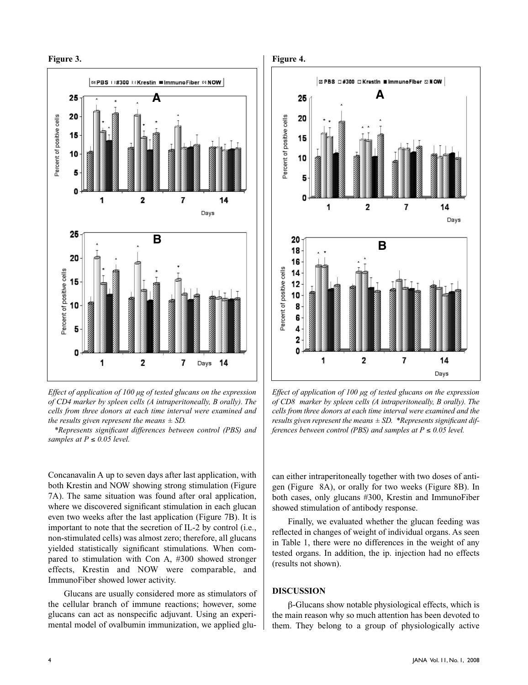



*Effect of application of 100 µg of tested glucans on the expression of CD4 marker by spleen cells (A intraperitoneally, B orally). The cells from three donors at each time interval were examined and the results given represent the means ± SD.*

*\*Represents significant differences between control (PBS) and samples at*  $P \leq 0.05$  *level.* 

Concanavalin A up to seven days after last application, with both Krestin and NOW showing strong stimulation (Figure 7A). The same situation was found after oral application, where we discovered significant stimulation in each glucan even two weeks after the last application (Figure 7B). It is important to note that the secretion of IL-2 by control (i.e., non-stimulated cells) was almost zero; therefore, all glucans yielded statistically significant stimulations. When compared to stimulation with Con A, #300 showed stronger effects, Krestin and NOW were comparable, and ImmunoFiber showed lower activity.

Glucans are usually considered more as stimulators of the cellular branch of immune reactions; however, some glucans can act as nonspecific adjuvant. Using an experimental model of ovalbumin immunization, we applied glu-



*Effect of application of 100 µg of tested glucans on the expression of CD8 marker by spleen cells (A intraperitoneally, B orally). The cells from three donors at each time interval were examined and the results given represent the means ± SD. \*Represents significant differences between control (PBS) and samples at*  $P \le 0.05$  *level.* 

can either intraperitoneally together with two doses of antigen (Figure 8A), or orally for two weeks (Figure 8B). In both cases, only glucans #300, Krestin and ImmunoFiber showed stimulation of antibody response.

Finally, we evaluated whether the glucan feeding was reflected in changes of weight of individual organs. As seen in Table 1, there were no differences in the weight of any tested organs. In addition, the ip. injection had no effects (results not shown).

#### **DISCUSSION**

β-Glucans show notable physiological effects, which is the main reason why so much attention has been devoted to them. They belong to a group of physiologically active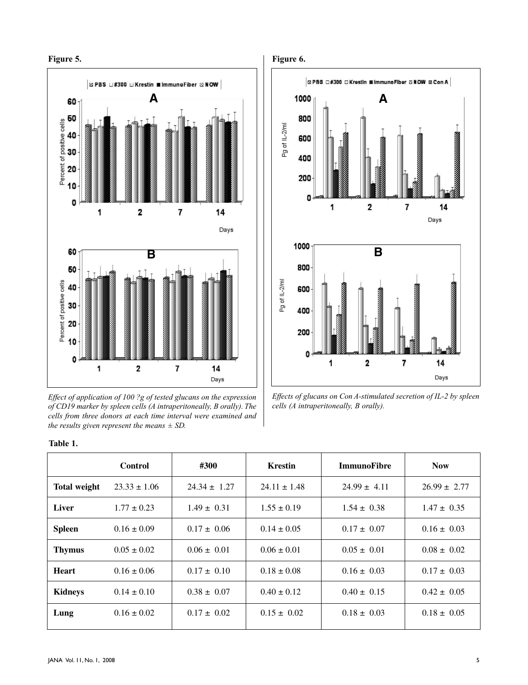

*Effect of application of 100 ?g of tested glucans on the expression of CD19 marker by spleen cells (A intraperitoneally, B orally). The cells from three donors at each time interval were examined and the results given represent the means ± SD.*



*Effects of glucans on Con A-stimulated secretion of IL-2 by spleen cells (A intraperitoneally, B orally).*

|  | ш |  |
|--|---|--|
|--|---|--|

|                     | <b>Control</b>   | #300             | <b>Krestin</b>   | <b>ImmunoFibre</b> | <b>Now</b>       |
|---------------------|------------------|------------------|------------------|--------------------|------------------|
| <b>Total weight</b> | $23.33 \pm 1.06$ | $24.34 \pm 1.27$ | $24.11 \pm 1.48$ | $24.99 \pm 4.11$   | $26.99 \pm 2.77$ |
| Liver               | $1.77 \pm 0.23$  | $1.49 \pm 0.31$  | $1.55 \pm 0.19$  | $1.54 \pm 0.38$    | $1.47 \pm 0.35$  |
| <b>Spleen</b>       | $0.16 \pm 0.09$  | $0.17 \pm 0.06$  | $0.14 \pm 0.05$  | $0.17 \pm 0.07$    | $0.16 \pm 0.03$  |
| <b>Thymus</b>       | $0.05 \pm 0.02$  | $0.06 \pm 0.01$  | $0.06 \pm 0.01$  | $0.05 \pm 0.01$    | $0.08 \pm 0.02$  |
| <b>Heart</b>        | $0.16 \pm 0.06$  | $0.17 \pm 0.10$  | $0.18 \pm 0.08$  | $0.16 \pm 0.03$    | $0.17 \pm 0.03$  |
| <b>Kidneys</b>      | $0.14 \pm 0.10$  | $0.38 \pm 0.07$  | $0.40 \pm 0.12$  | $0.40 \pm 0.15$    | $0.42 \pm 0.05$  |
| Lung                | $0.16 \pm 0.02$  | $0.17 \pm 0.02$  | $0.15 \pm 0.02$  | $0.18 \pm 0.03$    | $0.18 \pm 0.05$  |
|                     |                  |                  |                  |                    |                  |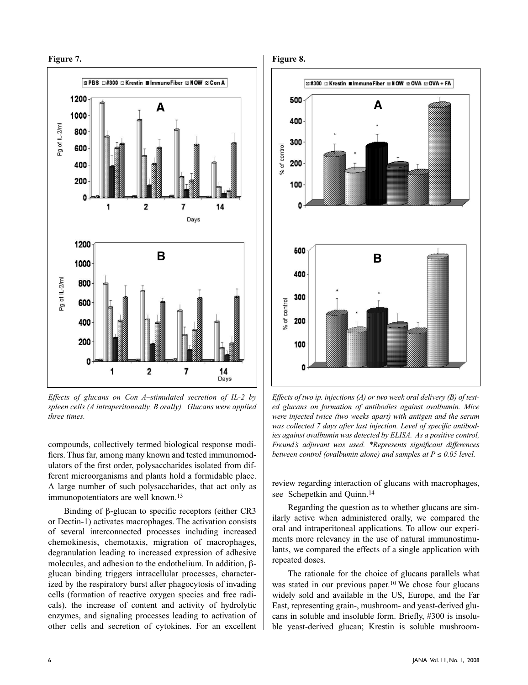

*Effects of glucans on Con A–stimulated secretion of IL-2 by spleen cells (A intraperitoneally, B orally). Glucans were applied three times.*

compounds, collectively termed biological response modifiers. Thus far, among many known and tested immunomodulators of the first order, polysaccharides isolated from different microorganisms and plants hold a formidable place. A large number of such polysaccharides, that act only as immunopotentiators are well known.<sup>13</sup>

Binding of β-glucan to specific receptors (either CR3 or Dectin-1) activates macrophages. The activation consists of several interconnected processes including increased chemokinesis, chemotaxis, migration of macrophages, degranulation leading to increased expression of adhesive molecules, and adhesion to the endothelium. In addition, βglucan binding triggers intracellular processes, characterized by the respiratory burst after phagocytosis of invading cells (formation of reactive oxygen species and free radicals), the increase of content and activity of hydrolytic enzymes, and signaling processes leading to activation of other cells and secretion of cytokines. For an excellent





*Effects of two ip. injections (A) or two week oral delivery (B) of tested glucans on formation of antibodies against ovalbumin. Mice were injected twice (two weeks apart) with antigen and the serum was collected 7 days after last injection. Level of specific antibodies against ovalbumin was detected by ELISA. As a positive control, Freund's adjuvant was used. \*Represents significant differences between control (ovalbumin alone) and samples at*  $P \leq 0.05$  *level.* 

review regarding interaction of glucans with macrophages, see Schepetkin and Quinn.<sup>14</sup>

Regarding the question as to whether glucans are similarly active when administered orally, we compared the oral and intraperitoneal applications. To allow our experiments more relevancy in the use of natural immunostimulants, we compared the effects of a single application with repeated doses.

The rationale for the choice of glucans parallels what was stated in our previous paper.<sup>10</sup> We chose four glucans widely sold and available in the US, Europe, and the Far East, representing grain-, mushroom- and yeast-derived glucans in soluble and insoluble form. Briefly, #300 is insoluble yeast-derived glucan; Krestin is soluble mushroom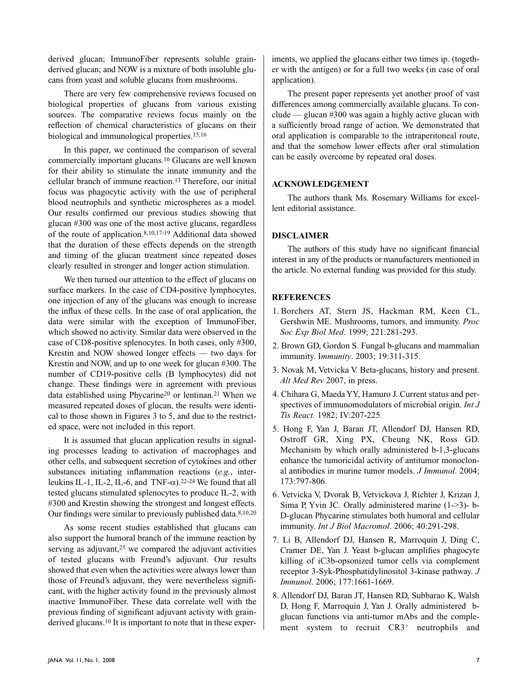derived glucan; ImmunoFiber represents soluble grainderived glucan; and NOW is a mixture of both insoluble glucans from yeast and soluble glucans from mushrooms.

There are very few comprehensive reviews focused on biological properties of glucans from various existing sources. The comparative reviews focus mainly on the reflection of chemical characteristics of glucans on their biological and immunological properties.15,16

In this paper, we continued the comparison of several commercially important glucans.10 Glucans are well known for their ability to stimulate the innate immunity and the cellular branch of immune reaction.13 Therefore, our initial focus was phagocytic activity with the use of peripheral blood neutrophils and synthetic microspheres as a model. Our results confirmed our previous studies showing that glucan #300 was one of the most active glucans, regardless of the route of application.8,10,17-19 Additional data showed that the duration of these effects depends on the strength and timing of the glucan treatment since repeated doses clearly resulted in stronger and longer action stimulation.

We then turned our attention to the effect of glucans on surface markers. In the case of CD4-positive lymphocytes, one injection of any of the glucans was enough to increase the influx of these cells. In the case of oral application, the data were similar with the exception of ImmunoFiber, which showed no activity. Similar data were observed in the case of CD8-positive splenocytes. In both cases, only #300, Krestin and NOW showed longer effects — two days for Krestin and NOW, and up to one week for glucan #300. The number of CD19-positive cells (B lymphocytes) did not change. These findings were in agreement with previous data established using Phycarine20 or lentinan.21 When we measured repeated doses of glucan, the results were identical to those shown in Figures 3 to 5, and due to the restricted space, were not included in this report.

It is assumed that glucan application results in signaling processes leading to activation of macrophages and other cells, and subsequent secretion of cytokines and other substances initiating inflammation reactions (*e.g.*, interleukins IL-1, IL-2, IL-6, and  $TNF-\alpha$ ).<sup>22-24</sup> We found that all tested glucans stimulated splenocytes to produce IL-2, with #300 and Krestin showing the strongest and longest effects. Our findings were similar to previously published data.8,10,20

As some recent studies established that glucans can also support the humoral branch of the immune reaction by serving as adjuvant,<sup>25</sup> we compared the adjuvant activities of tested glucans with Freund's adjuvant. Our results showed that even when the activities were always lower than those of Freund's adjuvant, they were nevertheless significant, with the higher activity found in the previously almost inactive ImmunoFiber. These data correlate well with the previous finding of significant adjuvant activity with grainderived glucans.10 It is important to note that in these exper-

iments, we applied the glucans either two times ip. (together with the antigen) or for a full two weeks (in case of oral application).

The present paper represents yet another proof of vast differences among commercially available glucans. To conclude — glucan #300 was again a highly active glucan with a sufficiently broad range of action. We demonstrated that oral application is comparable to the intraperitoneal route, and that the somehow lower effects after oral stimulation can be easily overcome by repeated oral doses.

#### **ACKNOWLEDGEMENT**

The authors thank Ms. Rosemary Williams for excellent editorial assistance.

#### **DISCLAIMER**

The authors of this study have no significant financial interest in any of the products or manufacturers mentioned in the article. No external funding was provided for this study.

#### **REFERENCES**

- 1. Borchers AT, Stern JS, Hackman RM, Keen CL, Gershwin ME. Mushrooms, tumors, and immunity. *Proc Soc Exp Biol Med*. 1999; 221:281-293.
- 2. Brown GD, Gordon S. Fungal b-glucans and mammalian immunity. I*mmunity*. 2003; 19:311-315.
- 3. Novak M, Vetvicka V. Beta-glucans, history and present. *Alt Med Rev* 2007, in press.
- 4. Chihara G, Maeda YY, Hamuro J. Current status and perspectives of immunomodulators of microbial origin. *Int J Tis React.* 1982; IV:207-225.
- 5. Hong F, Yan J, Baran JT, Allendorf DJ, Hansen RD, Ostroff GR, Xing PX, Cheung NK, Ross GD. Mechanism by which orally administered b-1,3-glucans enhance the tumoricidal activity of antitumor monoclonal antibodies in murine tumor models. *J Immunol*. 2004; 173:797-806.
- 6. Vetvicka V, Dvorak B, Vetvickova J, Richter J, Krizan J, Sima P, Yvin JC. Orally administered marine (1->3)- b-D-glucan Phycarine stimulates both humoral and cellular immunity. *Int J Biol Macromol*. 2006; 40:291-298.
- 7. Li B, Allendorf DJ, Hansen R, Marroquin J, Ding C, Cramer DE, Yan J. Yeast b-glucan amplifies phagocyte killing of iC3b-opsonized tumor cells via complement receptor 3-Syk-Phosphatidylinositol 3-kinase pathway. *J Immunol*. 2006; 177:1661-1669.
- 8. Allendorf DJ, Baran JT, Hansen RD, Subbarao K, Walsh D, Hong F, Marroquin J, Yan J. Orally administered bglucan functions via anti-tumor mAbs and the complement system to recruit CR3+ neutrophils and